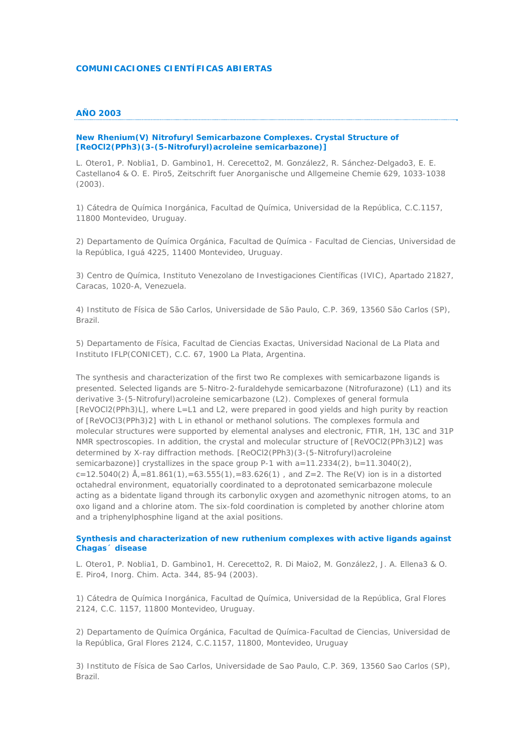# **COMUNICACIONES CIENTÍFICAS ABIERTAS**

# **AÑO 2003**

# **New Rhenium(V) Nitrofuryl Semicarbazone Complexes. Crystal Structure of [ReOCl2(PPh3)(3-(5-Nitrofuryl)acroleine semicarbazone)]**

*L. Otero1, P. Noblia1, D. Gambino1, H. Cerecetto2, M. González2, R. Sánchez-Delgado3, E. E. Castellano4 & O. E. Piro5, Zeitschrift fuer Anorganische und Allgemeine Chemie 629, 1033-1038 (2003).*

1) Cátedra de Química Inorgánica, Facultad de Química, Universidad de la República, C.C.1157, 11800 Montevideo, Uruguay.

2) Departamento de Química Orgánica, Facultad de Química - Facultad de Ciencias, Universidad de la República, Iguá 4225, 11400 Montevideo, Uruguay.

3) Centro de Química, Instituto Venezolano de Investigaciones Científicas (IVIC), Apartado 21827, Caracas, 1020-A, Venezuela.

4) Instituto de Física de São Carlos, Universidade de São Paulo, C.P. 369, 13560 São Carlos (SP), Brazil.

5) Departamento de Física, Facultad de Ciencias Exactas, Universidad Nacional de La Plata and Instituto IFLP(CONICET), C.C. 67, 1900 La Plata, Argentina.

The synthesis and characterization of the first two Re complexes with semicarbazone ligands is presented. Selected ligands are 5-Nitro-2-furaldehyde semicarbazone (Nitrofurazone) (L1) and its derivative 3-(5-Nitrofuryl)acroleine semicarbazone (L2). Complexes of general formula [ReVOCl2(PPh3)L], where L=L1 and L2, were prepared in good yields and high purity by reaction of [ReVOCl3(PPh3)2] with L in ethanol or methanol solutions. The complexes formula and molecular structures were supported by elemental analyses and electronic, FTIR, 1H, 13C and 31P NMR spectroscopies. In addition, the crystal and molecular structure of [ReVOCl2(PPh3)L2] was determined by X-ray diffraction methods. [ReOCl2(PPh3)(3-(5-Nitrofuryl)acroleine semicarbazone)] crystallizes in the space group P-1 with a=11.2334(2), b=11.3040(2), c=12.5040(2)  $\hat{A}_1$ =81.861(1),=63.555(1),=83.626(1), and Z=2. The Re(V) ion is in a distorted octahedral environment, equatorially coordinated to a deprotonated semicarbazone molecule acting as a bidentate ligand through its carbonylic oxygen and azomethynic nitrogen atoms, to an oxo ligand and a chlorine atom. The six-fold coordination is completed by another chlorine atom and a triphenylphosphine ligand at the axial positions.

## **Synthesis and characterization of new ruthenium complexes with active ligands against Chagas´ disease**

*L. Otero1, P. Noblia1, D. Gambino1, H. Cerecetto2, R. Di Maio2, M. González2, J. A. Ellena3 & O. E. Piro4, Inorg. Chim. Acta. 344, 85-94 (2003).*

1) Cátedra de Química Inorgánica, Facultad de Química, Universidad de la República, Gral Flores 2124, C.C. 1157, 11800 Montevideo, Uruguay.

2) Departamento de Química Orgánica, Facultad de Química-Facultad de Ciencias, Universidad de la República, Gral Flores 2124, C.C.1157, 11800, Montevideo, Uruguay

3) Instituto de Física de Sao Carlos, Universidade de Sao Paulo, C.P. 369, 13560 Sao Carlos (SP), Brazil.